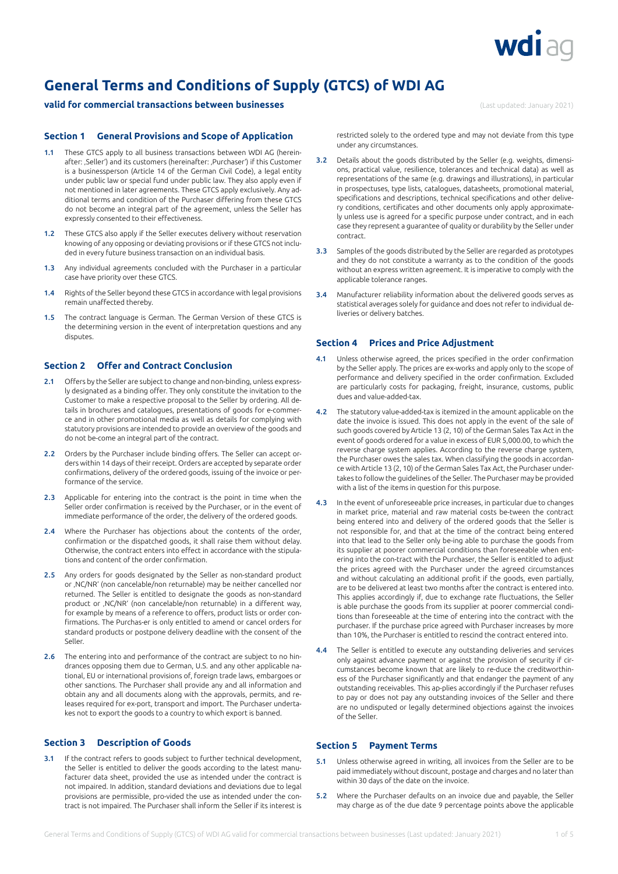

# **General Terms and Conditions of Supply (GTCS) of WDI AG**

# **valid for commercial transactions between businesses** (Last updated: January 2021)

# **Section 1 General Provisions and Scope of Application**

- 1.1 These GTCS apply to all business transactions between WDI AG (hereinafter: ,Seller') and its customers (hereinafter: ,Purchaser') if this Customer is a businessperson (Article 14 of the German Civil Code), a legal entity under public law or special fund under public law. They also apply even if not mentioned in later agreements. These GTCS apply exclusively. Any additional terms and condition of the Purchaser differing from these GTCS do not become an integral part of the agreement, unless the Seller has expressly consented to their effectiveness.
- 1.2 These GTCS also apply if the Seller executes delivery without reservation knowing of any opposing or deviating provisions or if these GTCS not included in every future business transaction on an individual basis.
- 1.3 Any individual agreements concluded with the Purchaser in a particular case have priority over these GTCS.
- 1.4 Rights of the Seller beyond these GTCS in accordance with legal provisions remain unaffected thereby.
- 1.5 The contract language is German. The German Version of these GTCS is the determining version in the event of interpretation questions and any disputes.

# **Section 2 Offer and Contract Conclusion**

- 2.1 Offers by the Seller are subject to change and non-binding, unless expressly designated as a binding offer. They only constitute the invitation to the Customer to make a respective proposal to the Seller by ordering. All details in brochures and catalogues, presentations of goods for e-commerce and in other promotional media as well as details for complying with statutory provisions are intended to provide an overview of the goods and do not be-come an integral part of the contract.
- 2.2 Orders by the Purchaser include binding offers. The Seller can accept orders within 14 days of their receipt. Orders are accepted by separate order confirmations, delivery of the ordered goods, issuing of the invoice or performance of the service.
- 2.3 Applicable for entering into the contract is the point in time when the Seller order confirmation is received by the Purchaser, or in the event of immediate performance of the order, the delivery of the ordered goods.
- 2.4 Where the Purchaser has objections about the contents of the order confirmation or the dispatched goods, it shall raise them without delay. Otherwise, the contract enters into effect in accordance with the stipulations and content of the order confirmation.
- 2.5 Any orders for goods designated by the Seller as non-standard product or , NC/NR' (non cancelable/non returnable) may be neither cancelled nor returned. The Seller is entitled to designate the goods as non-standard product or , NC/NR' (non cancelable/non returnable) in a different way, for example by means of a reference to offers, product lists or order confirmations. The Purchas-er is only entitled to amend or cancel orders for standard products or postpone delivery deadline with the consent of the Seller.
- 2.6 The entering into and performance of the contract are subject to no hindrances opposing them due to German, U.S. and any other applicable national, EU or international provisions of, foreign trade laws, embargoes or other sanctions. The Purchaser shall provide any and all information and obtain any and all documents along with the approvals, permits, and releases required for ex-port, transport and import. The Purchaser undertakes not to export the goods to a country to which export is banned.

# **Section 3 Description of Goods**

3.1 If the contract refers to goods subject to further technical development, the Seller is entitled to deliver the goods according to the latest manufacturer data sheet, provided the use as intended under the contract is not impaired. In addition, standard deviations and deviations due to legal provisions are permissible, pro-vided the use as intended under the contract is not impaired. The Purchaser shall inform the Seller if its interest is restricted solely to the ordered type and may not deviate from this type under any circumstances.

- 3.2 Details about the goods distributed by the Seller (e.g. weights, dimensions, practical value, resilience, tolerances and technical data) as well as representations of the same (e.g. drawings and illustrations), in particular in prospectuses, type lists, catalogues, datasheets, promotional material, specifications and descriptions, technical specifications and other delivery conditions, certificates and other documents only apply approximately unless use is agreed for a specific purpose under contract, and in each case they represent a guarantee of quality or durability by the Seller under contract.
- 3.3 Samples of the goods distributed by the Seller are regarded as prototypes and they do not constitute a warranty as to the condition of the goods without an express written agreement. It is imperative to comply with the applicable tolerance ranges.
- 3.4 Manufacturer reliability information about the delivered goods serves as statistical averages solely for guidance and does not refer to individual deliveries or delivery batches.

### **Section 4 Prices and Price Adjustment**

- 4.1 Unless otherwise agreed, the prices specified in the order confirmation by the Seller apply. The prices are ex-works and apply only to the scope of performance and delivery specified in the order confirmation. Excluded are particularly costs for packaging, freight, insurance, customs, public dues and value-added-tax.
- 4.2 The statutory value-added-tax is itemized in the amount applicable on the date the invoice is issued. This does not apply in the event of the sale of such goods covered by Article 13 (2, 10) of the German Sales Tax Act in the event of goods ordered for a value in excess of EUR 5,000.00, to which the reverse charge system applies. According to the reverse charge system, the Purchaser owes the sales tax. When classifying the goods in accordance with Article 13 (2, 10) of the German Sales Tax Act, the Purchaser undertakes to follow the guidelines of the Seller. The Purchaser may be provided with a list of the items in question for this purpose.
- 4.3 In the event of unforeseeable price increases, in particular due to changes in market price, material and raw material costs be-tween the contract being entered into and delivery of the ordered goods that the Seller is not responsible for, and that at the time of the contract being entered into that lead to the Seller only be-ing able to purchase the goods from its supplier at poorer commercial conditions than foreseeable when entering into the con-tract with the Purchaser, the Seller is entitled to adjust the prices agreed with the Purchaser under the agreed circumstances and without calculating an additional profit if the goods, even partially, are to be delivered at least two months after the contract is entered into. This applies accordingly if, due to exchange rate fluctuations, the Seller is able purchase the goods from its supplier at poorer commercial conditions than foreseeable at the time of entering into the contract with the purchaser. If the purchase price agreed with Purchaser increases by more than 10%, the Purchaser is entitled to rescind the contract entered into.
- 4.4 The Seller is entitled to execute any outstanding deliveries and services only against advance payment or against the provision of security if circumstances become known that are likely to re-duce the creditworthiness of the Purchaser significantly and that endanger the payment of any outstanding receivables. This ap-plies accordingly if the Purchaser refuses to pay or does not pay any outstanding invoices of the Seller and there are no undisputed or legally determined objections against the invoices of the Seller.

# **Section 5 Payment Terms**

- 5.1 Unless otherwise agreed in writing, all invoices from the Seller are to be paid immediately without discount, postage and charges and no later than within 30 days of the date on the invoice.
- 5.2 Where the Purchaser defaults on an invoice due and payable, the Seller may charge as of the due date 9 percentage points above the applicable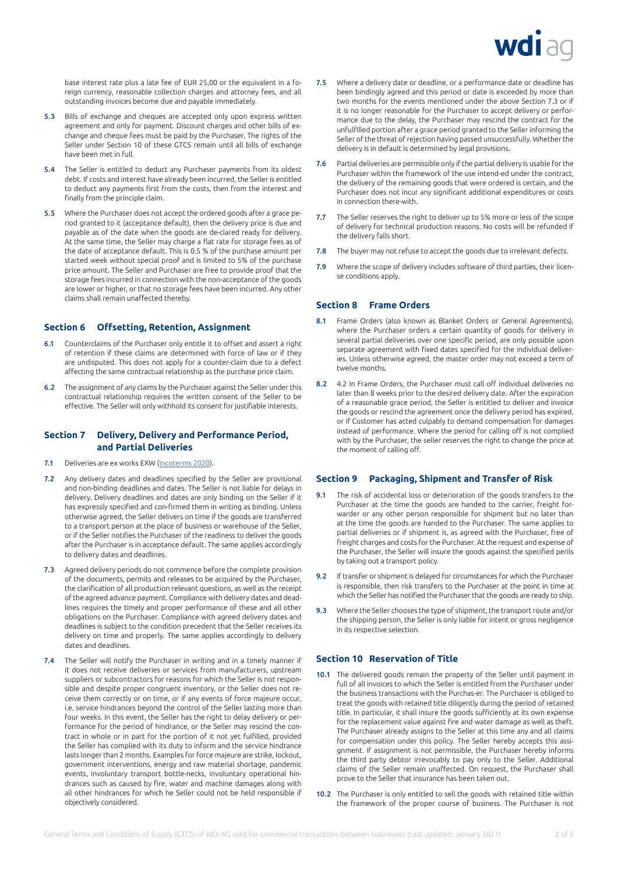

base interest rate plus a late fee of EUR 25,00 or the equivalent in a foreign currency, reasonable collection charges and attorney fees, and all outstanding invoices become due and payable immediately.

- 5.3 Bills of exchange and cheques are accepted only upon express written agreement and only for payment. Discount charges and other bills of exchange and cheque fees must be paid by the Purchaser. The rights of the Seller under Section 10 of these GTCS remain until all bills of exchange have been met in full.
- 5.4 The Seller is entitled to deduct any Purchaser payments from its oldest debt. If costs and interest have already been incurred, the Seller is entitled to deduct any payments first from the costs, then from the interest and finally from the principle claim.
- 5.5 Where the Purchaser does not accept the ordered goods after a grace period granted to it (acceptance default), then the delivery price is due and payable as of the date when the goods are de-clared ready for delivery. At the same time, the Seller may charge a flat rate for storage fees as of the date of acceptance default. This is 0.5 % of the purchase amount per started week without special proof and is limited to 5% of the purchase price amount. The Seller and Purchaser are free to provide proof that the storage fees incurred in connection with the non-acceptance of the goods are lower or higher, or that no storage fees have been incurred. Any other claims shall remain unaffected thereby.

# **Section 6 Offsetting, Retention, Assignment**

- 6.1 Counterclaims of the Purchaser only entitle it to offset and assert a right of retention if these claims are determined with force of law or if they are undisputed. This does not apply for a counter-claim due to a defect affecting the same contractual relationship as the purchase price claim.
- 6.2 The assignment of any claims by the Purchaser against the Seller under this contractual relationship requires the written consent of the Seller to be effective. The Seller will only withhold its consent for justifiable interests.

# **Section 7 Delivery, Delivery and Performance Period, and Partial Deliveries**

- 7.1 Deliveries are ex works EXW ([Incoterms 2020](https://en.wikipedia.org/wiki/Incoterms#Incoterms_2020)).
- 7.2 Any delivery dates and deadlines specified by the Seller are provisional and non-binding deadlines and dates. The Seller is not liable for delays in delivery. Delivery deadlines and dates are only binding on the Seller if it has expressly specified and con-firmed them in writing as binding. Unless otherwise agreed, the Seller delivers on time if the goods are transferred to a transport person at the place of business or warehouse of the Seller, or if the Seller notifies the Purchaser of the readiness to deliver the goods after the Purchaser is in acceptance default. The same applies accordingly to delivery dates and deadlines.
- 7.3 Agreed delivery periods do not commence before the complete provision of the documents, permits and releases to be acquired by the Purchaser, the clarification of all production relevant questions, as well as the receipt of the agreed advance payment. Compliance with delivery dates and deadlines requires the timely and proper performance of these and all other obligations on the Purchaser. Compliance with agreed delivery dates and deadlines is subject to the condition precedent that the Seller receives its delivery on time and properly. The same applies accordingly to delivery dates and deadlines.
- 7.4 The Seller will notify the Purchaser in writing and in a timely manner if it does not receive deliveries or services from manufacturers, upstream suppliers or subcontractors for reasons for which the Seller is not responsible and despite proper congruent inventory, or the Seller does not receive them correctly or on time, or if any events of force majeure occur, i.e. service hindrances beyond the control of the Seller lasting more than four weeks. In this event, the Seller has the right to delay delivery or performance for the period of hindrance, or the Seller may rescind the contract in whole or in part for the portion of it not yet fulfilled, provided the Seller has complied with its duty to inform and the service hindrance lasts longer than 2 months. Examples for force majeure are strike, lockout, government interventions, energy and raw material shortage, pandemic events, involuntary transport bottle-necks, involuntary operational hindrances such as caused by fire, water and machine damages along with all other hindrances for which he Seller could not be held responsible if objectively considered.
- 7.5 Where a delivery date or deadline, or a performance date or deadline has been bindingly agreed and this period or date is exceeded by more than two months for the events mentioned under the above Section 7.3 or if it is no longer reasonable for the Purchaser to accept delivery or performance due to the delay, the Purchaser may rescind the contract for the unfulfilled portion after a grace period granted to the Seller informing the Seller of the threat of rejection having passed unsuccessfully. Whether the delivery is in default is determined by legal provisions.
- 7.6 Partial deliveries are permissible only if the partial delivery is usable for the Purchaser within the framework of the use intend-ed under the contract, the delivery of the remaining goods that were ordered is certain, and the Purchaser does not incur any significant additional expenditures or costs in connection there-with.
- 7.7 The Seller reserves the right to deliver up to 5% more or less of the scope of delivery for technical production reasons. No costs will be refunded if the delivery falls short.
- 7.8 The buyer may not refuse to accept the goods due to irrelevant defects.
- 7.9 Where the scope of delivery includes software of third parties, their license conditions apply.

#### **Section 8 Frame Orders**

- 8.1 Frame Orders (also known as Blanket Orders or General Agreements), where the Purchaser orders a certain quantity of goods for delivery in several partial deliveries over one specific period, are only possible upon separate agreement with fixed dates specified for the individual deliveries. Unless otherwise agreed, the master order may not exceed a term of twelve months.
- 8.2 4.2 In Frame Orders, the Purchaser must call off individual deliveries no later than 8 weeks prior to the desired delivery date. After the expiration of a reasonable grace period, the Seller is entitled to deliver and invoice the goods or rescind the agreement once the delivery period has expired, or if Customer has acted culpably to demand compensation for damages instead of performance. Where the period for calling off is not complied with by the Purchaser, the seller reserves the right to change the price at the moment of calling off.

#### **Section 9 Packaging, Shipment and Transfer of Risk**

- 9.1 The risk of accidental loss or deterioration of the goods transfers to the Purchaser at the time the goods are handed to the carrier, freight forwarder or any other person responsible for shipment but no later than at the time the goods are handed to the Purchaser. The same applies to partial deliveries or if shipment is, as agreed with the Purchaser, free of freight charges and costs for the Purchaser. At the request and expense of the Purchaser, the Seller will insure the goods against the specified perils by taking out a transport policy.
- 9.2 If transfer or shipment is delayed for circumstances for which the Purchaser is responsible, then risk transfers to the Purchaser at the point in time at which the Seller has notified the Purchaser that the goods are ready to ship.
- 9.3 Where the Seller chooses the type of shipment, the transport route and/or the shipping person, the Seller is only liable for intent or gross negligence in its respective selection.

#### **Section 10 Reservation of Title**

- 10.1 The delivered goods remain the property of the Seller until payment in full of all invoices to which the Seller is entitled from the Purchaser under the business transactions with the Purchas-er. The Purchaser is obliged to treat the goods with retained title diligently during the period of retained title. In particular, it shall insure the goods sufficiently at its own expense for the replacement value against fire and water damage as well as theft. The Purchaser already assigns to the Seller at this time any and all claims for compensation under this policy. The Seller hereby accepts this assignment. If assignment is not permissible, the Purchaser hereby informs the third party debtor irrevocably to pay only to the Seller. Additional claims of the Seller remain unaffected. On request, the Purchaser shall prove to the Seller that insurance has been taken out.
- 10.2 The Purchaser is only entitled to sell the goods with retained title within the framework of the proper course of business. The Purchaser is not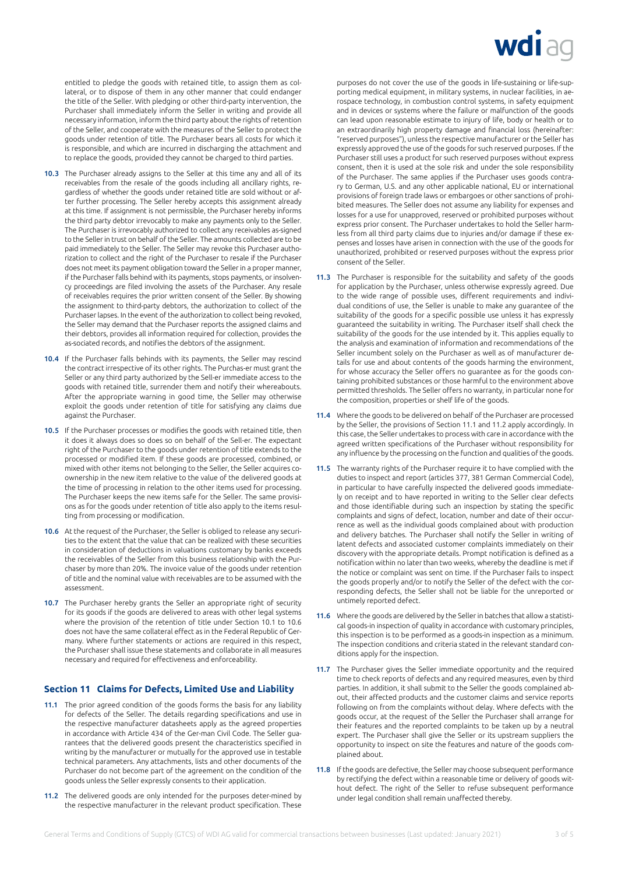

entitled to pledge the goods with retained title, to assign them as collateral, or to dispose of them in any other manner that could endanger the title of the Seller. With pledging or other third-party intervention, the Purchaser shall immediately inform the Seller in writing and provide all necessary information, inform the third party about the rights of retention of the Seller, and cooperate with the measures of the Seller to protect the goods under retention of title. The Purchaser bears all costs for which it is responsible, and which are incurred in discharging the attachment and to replace the goods, provided they cannot be charged to third parties.

- 10.3 The Purchaser already assigns to the Seller at this time any and all of its receivables from the resale of the goods including all ancillary rights, regardless of whether the goods under retained title are sold without or after further processing. The Seller hereby accepts this assignment already at this time. If assignment is not permissible, the Purchaser hereby informs the third party debtor irrevocably to make any payments only to the Seller. The Purchaser is irrevocably authorized to collect any receivables as-signed to the Seller in trust on behalf of the Seller. The amounts collected are to be paid immediately to the Seller. The Seller may revoke this Purchaser authorization to collect and the right of the Purchaser to resale if the Purchaser does not meet its payment obligation toward the Seller in a proper manner, if the Purchaser falls behind with its payments, stops payments, or insolvency proceedings are filed involving the assets of the Purchaser. Any resale of receivables requires the prior written consent of the Seller. By showing the assignment to third-party debtors, the authorization to collect of the Purchaser lapses. In the event of the authorization to collect being revoked, the Seller may demand that the Purchaser reports the assigned claims and their debtors, provides all information required for collection, provides the as-sociated records, and notifies the debtors of the assignment.
- 10.4 If the Purchaser falls behinds with its payments, the Seller may rescind the contract irrespective of its other rights. The Purchas-er must grant the Seller or any third party authorized by the Sell-er immediate access to the goods with retained title, surrender them and notify their whereabouts. After the appropriate warning in good time, the Seller may otherwise exploit the goods under retention of title for satisfying any claims due against the Purchaser.
- 10.5 If the Purchaser processes or modifies the goods with retained title, then it does it always does so does so on behalf of the Sell-er. The expectant right of the Purchaser to the goods under retention of title extends to the processed or modified item. If these goods are processed, combined, or mixed with other items not belonging to the Seller, the Seller acquires coownership in the new item relative to the value of the delivered goods at the time of processing in relation to the other items used for processing. The Purchaser keeps the new items safe for the Seller. The same provisions as for the goods under retention of title also apply to the items resulting from processing or modification.
- 10.6 At the request of the Purchaser, the Seller is obliged to release any securities to the extent that the value that can be realized with these securities in consideration of deductions in valuations customary by banks exceeds the receivables of the Seller from this business relationship with the Purchaser by more than 20%. The invoice value of the goods under retention of title and the nominal value with receivables are to be assumed with the assessment.
- 10.7 The Purchaser hereby grants the Seller an appropriate right of security for its goods if the goods are delivered to areas with other legal systems where the provision of the retention of title under Section 10.1 to 10.6 does not have the same collateral effect as in the Federal Republic of Germany. Where further statements or actions are required in this respect, the Purchaser shall issue these statements and collaborate in all measures necessary and required for effectiveness and enforceability.

# **Section 11 Claims for Defects, Limited Use and Liability**

- 11.1 The prior agreed condition of the goods forms the basis for any liability for defects of the Seller. The details regarding specifications and use in the respective manufacturer datasheets apply as the agreed properties in accordance with Article 434 of the Ger-man Civil Code. The Seller guarantees that the delivered goods present the characteristics specified in writing by the manufacturer or mutually for the approved use in testable technical parameters. Any attachments, lists and other documents of the Purchaser do not become part of the agreement on the condition of the goods unless the Seller expressly consents to their application.
- 11.2 The delivered goods are only intended for the purposes deter-mined by the respective manufacturer in the relevant product specification. These

purposes do not cover the use of the goods in life-sustaining or life-supporting medical equipment, in military systems, in nuclear facilities, in aerospace technology, in combustion control systems, in safety equipment and in devices or systems where the failure or malfunction of the goods can lead upon reasonable estimate to injury of life, body or health or to an extraordinarily high property damage and financial loss (hereinafter: "reserved purposes"), unless the respective manufacturer or the Seller has expressly approved the use of the goods for such reserved purposes. If the Purchaser still uses a product for such reserved purposes without express consent, then it is used at the sole risk and under the sole responsibility of the Purchaser. The same applies if the Purchaser uses goods contrary to German, U.S. and any other applicable national, EU or international provisions of foreign trade laws or embargoes or other sanctions of prohibited measures. The Seller does not assume any liability for expenses and losses for a use for unapproved, reserved or prohibited purposes without express prior consent. The Purchaser undertakes to hold the Seller harmless from all third party claims due to injuries and/or damage if these expenses and losses have arisen in connection with the use of the goods for unauthorized, prohibited or reserved purposes without the express prior consent of the Seller.

- 11.3 The Purchaser is responsible for the suitability and safety of the goods for application by the Purchaser, unless otherwise expressly agreed. Due to the wide range of possible uses, different requirements and individual conditions of use, the Seller is unable to make any guarantee of the suitability of the goods for a specific possible use unless it has expressly guaranteed the suitability in writing. The Purchaser itself shall check the suitability of the goods for the use intended by it. This applies equally to the analysis and examination of information and recommendations of the Seller incumbent solely on the Purchaser as well as of manufacturer details for use and about contents of the goods harming the environment, for whose accuracy the Seller offers no guarantee as for the goods containing prohibited substances or those harmful to the environment above permitted thresholds. The Seller offers no warranty, in particular none for the composition, properties or shelf life of the goods.
- 11.4 Where the goods to be delivered on behalf of the Purchaser are processed by the Seller, the provisions of Section 11.1 and 11.2 apply accordingly. In this case, the Seller undertakes to process with care in accordance with the agreed written specifications of the Purchaser without responsibility for any influence by the processing on the function and qualities of the goods.
- 11.5 The warranty rights of the Purchaser require it to have complied with the duties to inspect and report (articles 377, 381 German Commercial Code), in particular to have carefully inspected the delivered goods immediately on receipt and to have reported in writing to the Seller clear defects and those identifiable during such an inspection by stating the specific complaints and signs of defect, location, number and date of their occurrence as well as the individual goods complained about with production and delivery batches. The Purchaser shall notify the Seller in writing of latent defects and associated customer complaints immediately on their discovery with the appropriate details. Prompt notification is defined as a notification within no later than two weeks, whereby the deadline is met if the notice or complaint was sent on time. If the Purchaser fails to inspect the goods properly and/or to notify the Seller of the defect with the corresponding defects, the Seller shall not be liable for the unreported or untimely reported defect.
- 11.6 Where the goods are delivered by the Seller in batches that allow a statistical goods-in inspection of quality in accordance with customary principles, this inspection is to be performed as a goods-in inspection as a minimum. The inspection conditions and criteria stated in the relevant standard conditions apply for the inspection.
- 11.7 The Purchaser gives the Seller immediate opportunity and the required time to check reports of defects and any required measures, even by third parties. In addition, it shall submit to the Seller the goods complained about, their affected products and the customer claims and service reports following on from the complaints without delay. Where defects with the goods occur, at the request of the Seller the Purchaser shall arrange for their features and the reported complaints to be taken up by a neutral expert. The Purchaser shall give the Seller or its upstream suppliers the opportunity to inspect on site the features and nature of the goods complained about.
- 11.8 If the goods are defective, the Seller may choose subsequent performance by rectifying the defect within a reasonable time or delivery of goods without defect. The right of the Seller to refuse subsequent performance under legal condition shall remain unaffected thereby.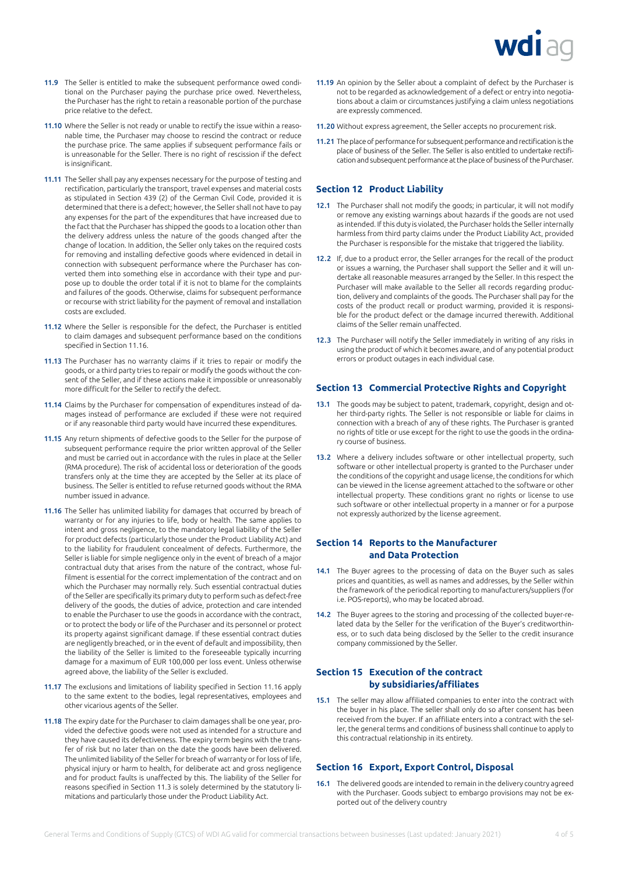

- 11.9 The Seller is entitled to make the subsequent performance owed conditional on the Purchaser paying the purchase price owed. Nevertheless, the Purchaser has the right to retain a reasonable portion of the purchase price relative to the defect.
- 11.10 Where the Seller is not ready or unable to rectify the issue within a reasonable time, the Purchaser may choose to rescind the contract or reduce the purchase price. The same applies if subsequent performance fails or is unreasonable for the Seller. There is no right of rescission if the defect is insignificant.
- 11.11 The Seller shall pay any expenses necessary for the purpose of testing and rectification, particularly the transport, travel expenses and material costs as stipulated in Section 439 (2) of the German Civil Code, provided it is determined that there is a defect; however, the Seller shall not have to pay any expenses for the part of the expenditures that have increased due to the fact that the Purchaser has shipped the goods to a location other than the delivery address unless the nature of the goods changed after the change of location. In addition, the Seller only takes on the required costs for removing and installing defective goods where evidenced in detail in connection with subsequent performance where the Purchaser has converted them into something else in accordance with their type and purpose up to double the order total if it is not to blame for the complaints and failures of the goods. Otherwise, claims for subsequent performance or recourse with strict liability for the payment of removal and installation costs are excluded.
- 11.12 Where the Seller is responsible for the defect, the Purchaser is entitled to claim damages and subsequent performance based on the conditions specified in Section 11.16.
- 11.13 The Purchaser has no warranty claims if it tries to repair or modify the goods, or a third party tries to repair or modify the goods without the consent of the Seller, and if these actions make it impossible or unreasonably more difficult for the Seller to rectify the defect.
- 11.14 Claims by the Purchaser for compensation of expenditures instead of damages instead of performance are excluded if these were not required or if any reasonable third party would have incurred these expenditures.
- 11.15 Any return shipments of defective goods to the Seller for the purpose of subsequent performance require the prior written approval of the Seller and must be carried out in accordance with the rules in place at the Seller (RMA procedure). The risk of accidental loss or deterioration of the goods transfers only at the time they are accepted by the Seller at its place of business. The Seller is entitled to refuse returned goods without the RMA number issued in advance.
- 11.16 The Seller has unlimited liability for damages that occurred by breach of warranty or for any injuries to life, body or health. The same applies to intent and gross negligence, to the mandatory legal liability of the Seller for product defects (particularly those under the Product Liability Act) and to the liability for fraudulent concealment of defects. Furthermore, the Seller is liable for simple negligence only in the event of breach of a major contractual duty that arises from the nature of the contract, whose fulfilment is essential for the correct implementation of the contract and on which the Purchaser may normally rely. Such essential contractual duties of the Seller are specifically its primary duty to perform such as defect-free delivery of the goods, the duties of advice, protection and care intended to enable the Purchaser to use the goods in accordance with the contract, or to protect the body or life of the Purchaser and its personnel or protect its property against significant damage. If these essential contract duties are negligently breached, or in the event of default and impossibility, then the liability of the Seller is limited to the foreseeable typically incurring damage for a maximum of EUR 100,000 per loss event. Unless otherwise agreed above, the liability of the Seller is excluded.
- 11.17 The exclusions and limitations of liability specified in Section 11.16 apply to the same extent to the bodies, legal representatives, employees and other vicarious agents of the Seller.
- 11.18 The expiry date for the Purchaser to claim damages shall be one year, provided the defective goods were not used as intended for a structure and they have caused its defectiveness. The expiry term begins with the transfer of risk but no later than on the date the goods have been delivered. The unlimited liability of the Seller for breach of warranty or for loss of life, physical injury or harm to health, for deliberate act and gross negligence and for product faults is unaffected by this. The liability of the Seller for reasons specified in Section 11.3 is solely determined by the statutory limitations and particularly those under the Product Liability Act.
- 11.19 An opinion by the Seller about a complaint of defect by the Purchaser is not to be regarded as acknowledgement of a defect or entry into negotiations about a claim or circumstances justifying a claim unless negotiations are expressly commenced.
- 11.20 Without express agreement, the Seller accepts no procurement risk.
- 11.21 The place of performance for subsequent performance and rectification is the place of business of the Seller. The Seller is also entitled to undertake rectification and subsequent performance at the place of business of the Purchaser.

# **Section 12 Product Liability**

- 12.1 The Purchaser shall not modify the goods; in particular, it will not modify or remove any existing warnings about hazards if the goods are not used as intended. If this duty is violated, the Purchaser holds the Seller internally harmless from third party claims under the Product Liability Act, provided the Purchaser is responsible for the mistake that triggered the liability.
- 12.2 If, due to a product error, the Seller arranges for the recall of the product or issues a warning, the Purchaser shall support the Seller and it will undertake all reasonable measures arranged by the Seller. In this respect the Purchaser will make available to the Seller all records regarding production, delivery and complaints of the goods. The Purchaser shall pay for the costs of the product recall or product warming, provided it is responsible for the product defect or the damage incurred therewith. Additional claims of the Seller remain unaffected.
- 12.3 The Purchaser will notify the Seller immediately in writing of any risks in using the product of which it becomes aware, and of any potential product errors or product outages in each individual case.

# **Section 13 Commercial Protective Rights and Copyright**

- 13.1 The goods may be subject to patent, trademark, copyright, design and other third-party rights. The Seller is not responsible or liable for claims in connection with a breach of any of these rights. The Purchaser is granted no rights of title or use except for the right to use the goods in the ordinary course of business.
- 13.2 Where a delivery includes software or other intellectual property, such software or other intellectual property is granted to the Purchaser under the conditions of the copyright and usage license, the conditions for which can be viewed in the license agreement attached to the software or other intellectual property. These conditions grant no rights or license to use such software or other intellectual property in a manner or for a purpose not expressly authorized by the license agreement.

# **Section 14 Reports to the Manufacturer and Data Protection**

- 14.1 The Buyer agrees to the processing of data on the Buyer such as sales prices and quantities, as well as names and addresses, by the Seller within the framework of the periodical reporting to manufacturers/suppliers (for i.e. POS-reports), who may be located abroad.
- 14.2 The Buyer agrees to the storing and processing of the collected buyer-related data by the Seller for the verification of the Buyer's creditworthiness, or to such data being disclosed by the Seller to the credit insurance company commissioned by the Seller.

## **Section 15 Execution of the contract by subsidiaries/affiliates**

15.1 The seller may allow affiliated companies to enter into the contract with the buyer in his place. The seller shall only do so after consent has been received from the buyer. If an affiliate enters into a contract with the seller, the general terms and conditions of business shall continue to apply to this contractual relationship in its entirety.

#### **Section 16 Export, Export Control, Disposal**

16.1 The delivered goods are intended to remain in the delivery country agreed with the Purchaser. Goods subject to embargo provisions may not be exported out of the delivery country